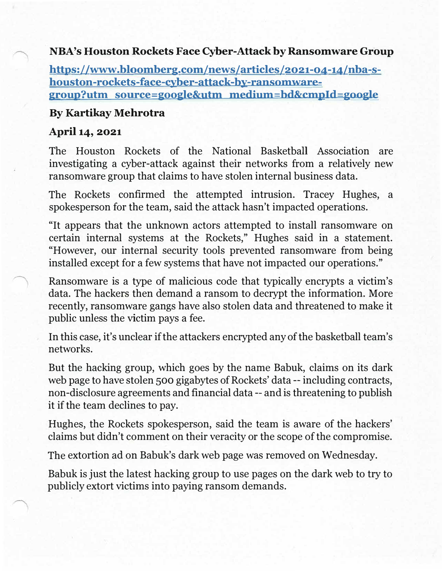## **NBA's Houston Rockets Face Cyber-Attack by Ransomware Group**

**https://www.bloomberg.com/news/articles/2021-04-14/nba-shouston-rockets-face-cyber-attack-by-ransomwaregroup?utm source=google&utm medium=bd&cmpld=google** 

## **By Kartikay Mehrotra**

## **April 14, 2021**

The Houston Rockets of the National Basketball Association are investigating a cyber-attack against their networks from a relatively new ransomware group that claims to have stolen internal business data.

The Rockets confirmed the attempted intrusion. Tracey Hughes, a spokesperson for the team, said the attack hasn't impacted operations.

"It appears that the unknown actors attempted to install ransomware on certain internal systems at the Rockets," Hughes said in a statement. "However, our internal security tools prevented ransomware from being installed except for a few systems that have not impacted our operations."

Ransomware is a type of malicious code that typically encrypts a victim's data. The hackers then demand a ransom to decrypt the information. More recently, ransomware gangs have also stolen data and threatened to make it public unless the victim pays a fee.

In this case, it's unclear if the attackers encrypted any of the basketball team's networks.

But the hacking group, which goes by the name Babuk, claims on its dark web page to have stolen 500 gigabytes of Rockets' data -- including contracts, non-disclosure agreements and financial data -- and is threatening to publish it if the team declines to pay.

Hughes, the Rockets spokesperson, said the team is aware of the hackers' claims but didn't comment on their veracity or the scope of the compromise.

The extortion ad on Babuk's dark web page was removed on Wednesday.

Babuk is just the latest hacking group to use pages on the dark web to try to publicly extort victims into paying ransom demands.